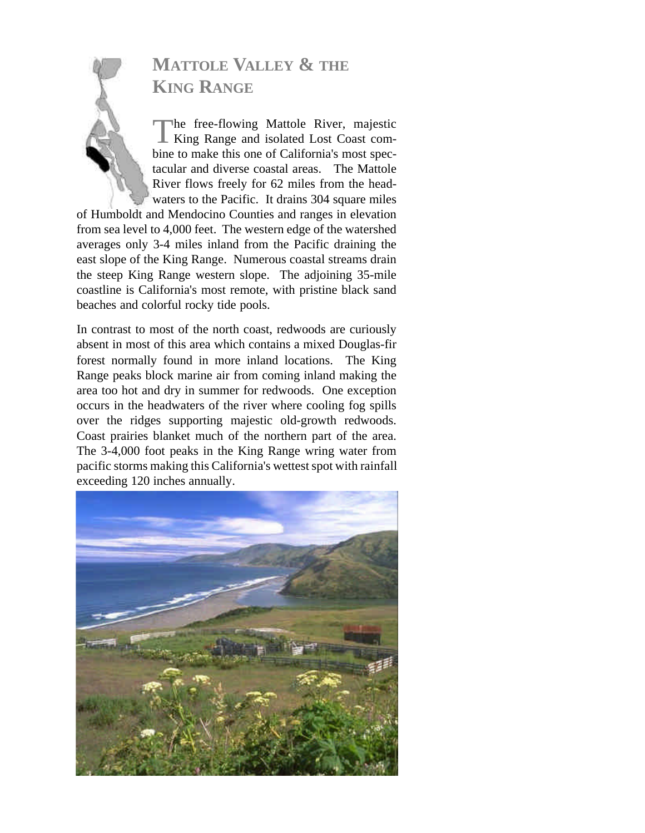# **MATTOLE VALLEY & THE KING RANGE**

The free-flowing Mattole River, majestic<br>King Range and isolated Lost Coast comhe free-flowing Mattole River, majestic bine to make this one of California's most spectacular and diverse coastal areas. The Mattole River flows freely for 62 miles from the headwaters to the Pacific. It drains 304 square miles

of Humboldt and Mendocino Counties and ranges in elevation from sea level to 4,000 feet. The western edge of the watershed averages only 3-4 miles inland from the Pacific draining the east slope of the King Range. Numerous coastal streams drain the steep King Range western slope. The adjoining 35-mile coastline is California's most remote, with pristine black sand beaches and colorful rocky tide pools.

In contrast to most of the north coast, redwoods are curiously absent in most of this area which contains a mixed Douglas-fir forest normally found in more inland locations. The King Range peaks block marine air from coming inland making the area too hot and dry in summer for redwoods. One exception occurs in the headwaters of the river where cooling fog spills over the ridges supporting majestic old-growth redwoods. Coast prairies blanket much of the northern part of the area. The 3-4,000 foot peaks in the King Range wring water from pacific storms making this California's wettest spot with rainfall exceeding 120 inches annually.

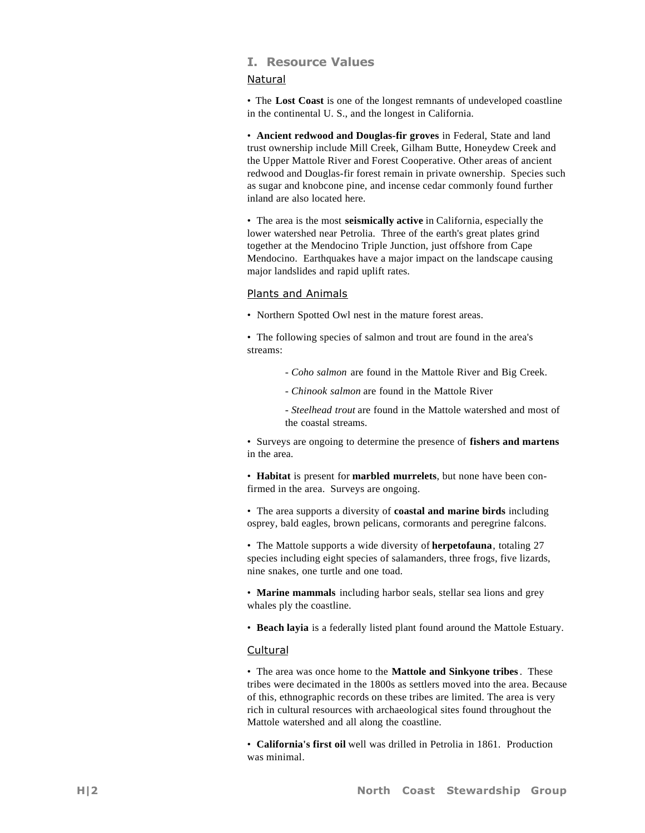## **I. Resource Values**

## Natural

• The **Lost Coast** is one of the longest remnants of undeveloped coastline in the continental U. S., and the longest in California.

• **Ancient redwood and Douglas-fir groves** in Federal, State and land trust ownership include Mill Creek, Gilham Butte, Honeydew Creek and the Upper Mattole River and Forest Cooperative. Other areas of ancient redwood and Douglas-fir forest remain in private ownership. Species such as sugar and knobcone pine, and incense cedar commonly found further inland are also located here.

• The area is the most **seismically active** in California, especially the lower watershed near Petrolia. Three of the earth's great plates grind together at the Mendocino Triple Junction, just offshore from Cape Mendocino. Earthquakes have a major impact on the landscape causing major landslides and rapid uplift rates.

## Plants and Animals

• Northern Spotted Owl nest in the mature forest areas.

• The following species of salmon and trout are found in the area's streams:

- *Coho salmon* are found in the Mattole River and Big Creek.
- *Chinook salmon* are found in the Mattole River
- *Steelhead trout* are found in the Mattole watershed and most of the coastal streams.

• Surveys are ongoing to determine the presence of **fishers and martens** in the area.

• **Habitat** is present for **marbled murrelets**, but none have been confirmed in the area. Surveys are ongoing.

• The area supports a diversity of **coastal and marine birds** including osprey, bald eagles, brown pelicans, cormorants and peregrine falcons.

• The Mattole supports a wide diversity of **herpetofauna**, totaling 27 species including eight species of salamanders, three frogs, five lizards, nine snakes, one turtle and one toad.

• **Marine mammals** including harbor seals, stellar sea lions and grey whales ply the coastline.

• **Beach layia** is a federally listed plant found around the Mattole Estuary.

## Cultural

• The area was once home to the **Mattole and Sinkyone tribes**. These tribes were decimated in the 1800s as settlers moved into the area. Because of this, ethnographic records on these tribes are limited. The area is very rich in cultural resources with archaeological sites found throughout the Mattole watershed and all along the coastline.

• **California's first oil** well was drilled in Petrolia in 1861. Production was minimal.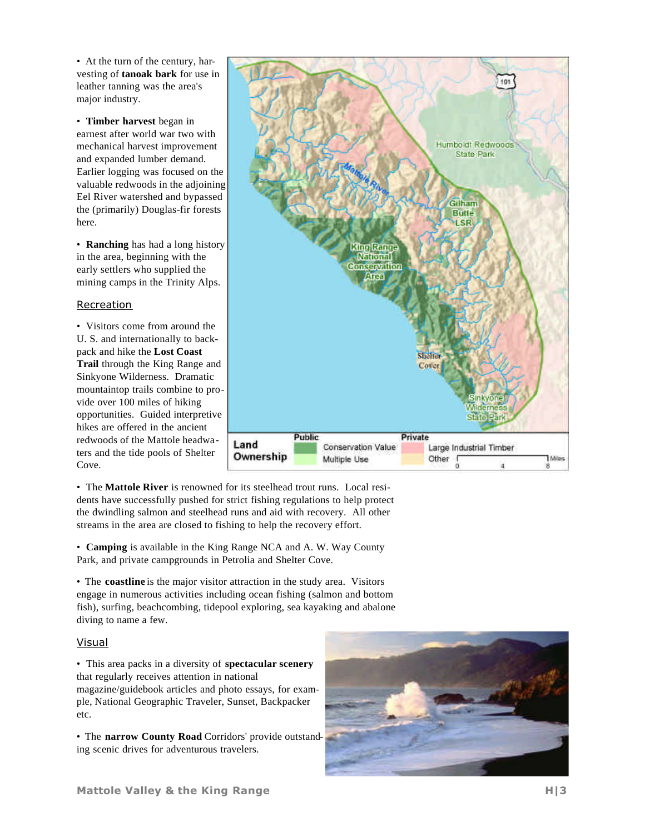• At the turn of the century, harvesting of **tanoak bark** for use in leather tanning was the area's major industry.

• **Timber harvest** began in earnest after world war two with mechanical harvest improvement and expanded lumber demand. Earlier logging was focused on the valuable redwoods in the adjoining Eel River watershed and bypassed the (primarily) Douglas-fir forests here.

• **Ranching** has had a long history in the area, beginning with the early settlers who supplied the mining camps in the Trinity Alps.

## Recreation

• Visitors come from around the U. S. and internationally to backpack and hike the **Lost Coast Trail** through the King Range and Sinkyone Wilderness. Dramatic mountaintop trails combine to provide over 100 miles of hiking opportunities. Guided interpretive hikes are offered in the ancient redwoods of the Mattole headwaters and the tide pools of Shelter Cove.



• The **Mattole River** is renowned for its steelhead trout runs. Local residents have successfully pushed for strict fishing regulations to help protect the dwindling salmon and steelhead runs and aid with recovery. All other streams in the area are closed to fishing to help the recovery effort.

• **Camping** is available in the King Range NCA and A. W. Way County Park, and private campgrounds in Petrolia and Shelter Cove.

• The **coastline** is the major visitor attraction in the study area. Visitors engage in numerous activities including ocean fishing (salmon and bottom fish), surfing, beachcombing, tidepool exploring, sea kayaking and abalone diving to name a few.

## Visual

• This area packs in a diversity of **spectacular scenery** that regularly receives attention in national

magazine/guidebook articles and photo essays, for example, National Geographic Traveler, Sunset, Backpacker etc.

• The **narrow County Road** Corridors' provide outstanding scenic drives for adventurous travelers.

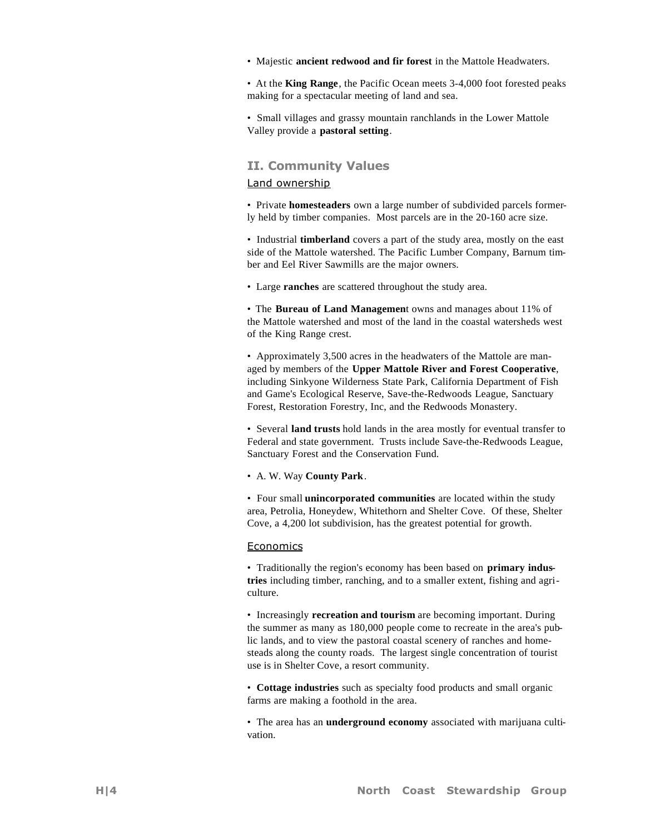• Majestic **ancient redwood and fir forest** in the Mattole Headwaters.

• At the **King Range**, the Pacific Ocean meets 3-4,000 foot forested peaks making for a spectacular meeting of land and sea.

• Small villages and grassy mountain ranchlands in the Lower Mattole Valley provide a **pastoral setting**.

## **II. Community Values**

#### Land ownership

• Private **homesteaders** own a large number of subdivided parcels formerly held by timber companies. Most parcels are in the 20-160 acre size.

• Industrial **timberland** covers a part of the study area, mostly on the east side of the Mattole watershed. The Pacific Lumber Company, Barnum timber and Eel River Sawmills are the major owners.

• Large **ranches** are scattered throughout the study area.

• The **Bureau of Land Managemen**t owns and manages about 11% of the Mattole watershed and most of the land in the coastal watersheds west of the King Range crest.

• Approximately 3,500 acres in the headwaters of the Mattole are managed by members of the **Upper Mattole River and Forest Cooperative**, including Sinkyone Wilderness State Park, California Department of Fish and Game's Ecological Reserve, Save-the-Redwoods League, Sanctuary Forest, Restoration Forestry, Inc, and the Redwoods Monastery.

• Several **land trusts** hold lands in the area mostly for eventual transfer to Federal and state government. Trusts include Save-the-Redwoods League, Sanctuary Forest and the Conservation Fund.

#### • A. W. Way **County Park**.

• Four small **unincorporated communities** are located within the study area, Petrolia, Honeydew, Whitethorn and Shelter Cove. Of these, Shelter Cove, a 4,200 lot subdivision, has the greatest potential for growth.

#### Economics

• Traditionally the region's economy has been based on **primary industries** including timber, ranching, and to a smaller extent, fishing and agriculture.

• Increasingly **recreation and tourism** are becoming important. During the summer as many as 180,000 people come to recreate in the area's public lands, and to view the pastoral coastal scenery of ranches and homesteads along the county roads. The largest single concentration of tourist use is in Shelter Cove, a resort community.

• **Cottage industries** such as specialty food products and small organic farms are making a foothold in the area.

• The area has an **underground economy** associated with marijuana cultivation.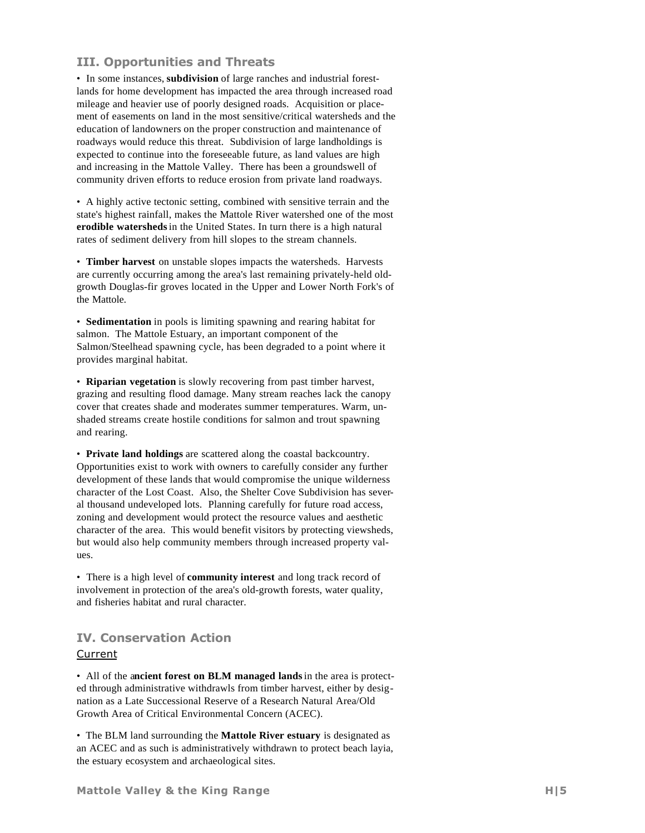## **III. Opportunities and Threats**

• In some instances, **subdivision** of large ranches and industrial forestlands for home development has impacted the area through increased road mileage and heavier use of poorly designed roads. Acquisition or placement of easements on land in the most sensitive/critical watersheds and the education of landowners on the proper construction and maintenance of roadways would reduce this threat. Subdivision of large landholdings is expected to continue into the foreseeable future, as land values are high and increasing in the Mattole Valley. There has been a groundswell of community driven efforts to reduce erosion from private land roadways.

• A highly active tectonic setting, combined with sensitive terrain and the state's highest rainfall, makes the Mattole River watershed one of the most **erodible watersheds**in the United States. In turn there is a high natural rates of sediment delivery from hill slopes to the stream channels.

• **Timber harvest** on unstable slopes impacts the watersheds. Harvests are currently occurring among the area's last remaining privately-held oldgrowth Douglas-fir groves located in the Upper and Lower North Fork's of the Mattole.

• **Sedimentation** in pools is limiting spawning and rearing habitat for salmon. The Mattole Estuary, an important component of the Salmon/Steelhead spawning cycle, has been degraded to a point where it provides marginal habitat.

• **Riparian vegetation** is slowly recovering from past timber harvest, grazing and resulting flood damage. Many stream reaches lack the canopy cover that creates shade and moderates summer temperatures. Warm, unshaded streams create hostile conditions for salmon and trout spawning and rearing.

• **Private land holdings** are scattered along the coastal backcountry. Opportunities exist to work with owners to carefully consider any further development of these lands that would compromise the unique wilderness character of the Lost Coast. Also, the Shelter Cove Subdivision has several thousand undeveloped lots. Planning carefully for future road access, zoning and development would protect the resource values and aesthetic character of the area. This would benefit visitors by protecting viewsheds, but would also help community members through increased property values.

• There is a high level of **community interest** and long track record of involvement in protection of the area's old-growth forests, water quality, and fisheries habitat and rural character.

## **IV. Conservation Action**

## Current

• All of the a**ncient forest on BLM managed lands**in the area is protected through administrative withdrawls from timber harvest, either by designation as a Late Successional Reserve of a Research Natural Area/Old Growth Area of Critical Environmental Concern (ACEC).

• The BLM land surrounding the **Mattole River estuary** is designated as an ACEC and as such is administratively withdrawn to protect beach layia, the estuary ecosystem and archaeological sites.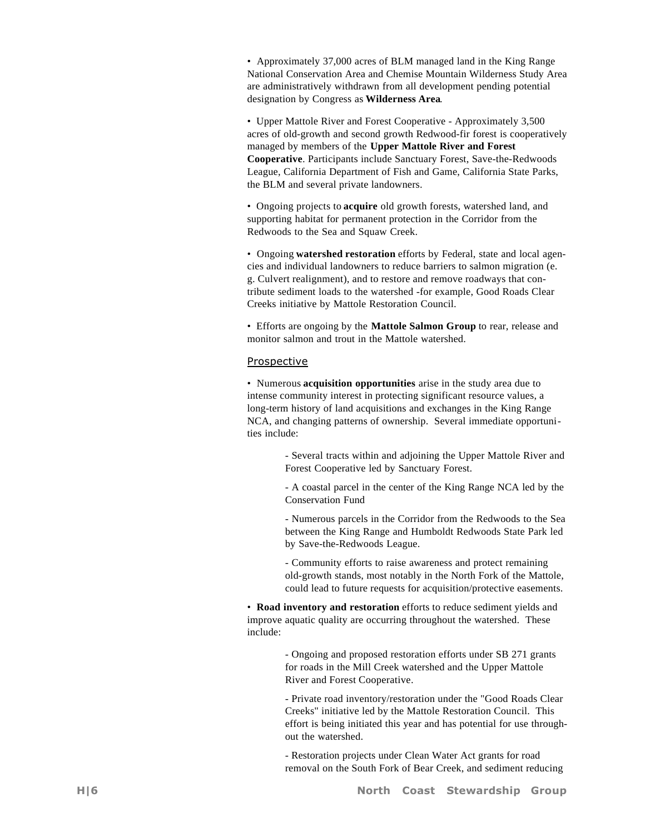• Approximately 37,000 acres of BLM managed land in the King Range National Conservation Area and Chemise Mountain Wilderness Study Area are administratively withdrawn from all development pending potential designation by Congress as **Wilderness Area**.

• Upper Mattole River and Forest Cooperative - Approximately 3,500 acres of old-growth and second growth Redwood-fir forest is cooperatively managed by members of the **Upper Mattole River and Forest Cooperative**. Participants include Sanctuary Forest, Save-the-Redwoods League, California Department of Fish and Game, California State Parks, the BLM and several private landowners.

• Ongoing projects to **acquire** old growth forests, watershed land, and supporting habitat for permanent protection in the Corridor from the Redwoods to the Sea and Squaw Creek.

• Ongoing **watershed restoration** efforts by Federal, state and local agencies and individual landowners to reduce barriers to salmon migration (e. g. Culvert realignment), and to restore and remove roadways that contribute sediment loads to the watershed -for example, Good Roads Clear Creeks initiative by Mattole Restoration Council.

• Efforts are ongoing by the **Mattole Salmon Group** to rear, release and monitor salmon and trout in the Mattole watershed.

## Prospective

• Numerous **acquisition opportunities** arise in the study area due to intense community interest in protecting significant resource values, a long-term history of land acquisitions and exchanges in the King Range NCA, and changing patterns of ownership. Several immediate opportunities include:

> - Several tracts within and adjoining the Upper Mattole River and Forest Cooperative led by Sanctuary Forest.

> - A coastal parcel in the center of the King Range NCA led by the Conservation Fund

> - Numerous parcels in the Corridor from the Redwoods to the Sea between the King Range and Humboldt Redwoods State Park led by Save-the-Redwoods League.

> - Community efforts to raise awareness and protect remaining old-growth stands, most notably in the North Fork of the Mattole, could lead to future requests for acquisition/protective easements.

• **Road inventory and restoration** efforts to reduce sediment yields and improve aquatic quality are occurring throughout the watershed. These include:

> - Ongoing and proposed restoration efforts under SB 271 grants for roads in the Mill Creek watershed and the Upper Mattole River and Forest Cooperative.

- Private road inventory/restoration under the "Good Roads Clear Creeks" initiative led by the Mattole Restoration Council. This effort is being initiated this year and has potential for use throughout the watershed.

- Restoration projects under Clean Water Act grants for road removal on the South Fork of Bear Creek, and sediment reducing